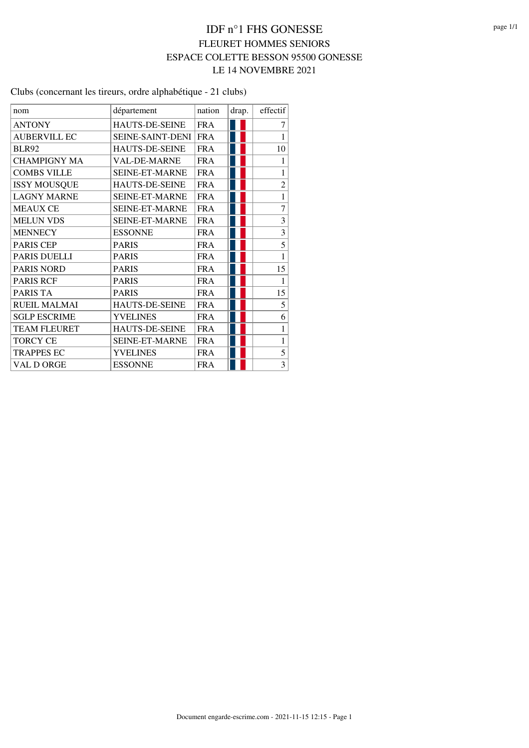Clubs (concernant les tireurs, ordre alphabétique - 21 clubs)

| nom                 | département             | nation     | drap. | effectif                |
|---------------------|-------------------------|------------|-------|-------------------------|
| <b>ANTONY</b>       | <b>HAUTS-DE-SEINE</b>   | <b>FRA</b> |       | 7                       |
| <b>AUBERVILL EC</b> | <b>SEINE-SAINT-DENI</b> | <b>FRA</b> |       | 1                       |
| <b>BLR92</b>        | <b>HAUTS-DE-SEINE</b>   | <b>FRA</b> |       | 10                      |
| <b>CHAMPIGNY MA</b> | <b>VAL-DE-MARNE</b>     | <b>FRA</b> |       | 1                       |
| <b>COMBS VILLE</b>  | SEINE-ET-MARNE          | <b>FRA</b> |       | 1                       |
| <b>ISSY MOUSQUE</b> | <b>HAUTS-DE-SEINE</b>   | <b>FRA</b> |       | $\overline{c}$          |
| <b>LAGNY MARNE</b>  | <b>SEINE-ET-MARNE</b>   | <b>FRA</b> |       | 1                       |
| <b>MEAUX CE</b>     | <b>SEINE-ET-MARNE</b>   | <b>FRA</b> |       | 7                       |
| <b>MELUN VDS</b>    | <b>SEINE-ET-MARNE</b>   | <b>FRA</b> |       | 3                       |
| <b>MENNECY</b>      | <b>ESSONNE</b>          | <b>FRA</b> |       | 3                       |
| <b>PARIS CEP</b>    | <b>PARIS</b>            | <b>FRA</b> |       | 5                       |
| PARIS DUELLI        | <b>PARIS</b>            | <b>FRA</b> |       | 1                       |
| <b>PARIS NORD</b>   | <b>PARIS</b>            | <b>FRA</b> |       | 15                      |
| <b>PARIS RCF</b>    | <b>PARIS</b>            | <b>FRA</b> |       | 1                       |
| PARIS TA            | <b>PARIS</b>            | <b>FRA</b> |       | 15                      |
| <b>RUEIL MALMAI</b> | <b>HAUTS-DE-SEINE</b>   | <b>FRA</b> |       | 5                       |
| <b>SGLP ESCRIME</b> | <b>YVELINES</b>         | <b>FRA</b> |       | 6                       |
| <b>TEAM FLEURET</b> | <b>HAUTS-DE-SEINE</b>   | <b>FRA</b> |       | 1                       |
| <b>TORCY CE</b>     | <b>SEINE-ET-MARNE</b>   | <b>FRA</b> |       | 1                       |
| <b>TRAPPES EC</b>   | <b>YVELINES</b>         | <b>FRA</b> |       | 5                       |
| <b>VAL D ORGE</b>   | <b>ESSONNE</b>          | <b>FRA</b> |       | $\overline{\mathbf{3}}$ |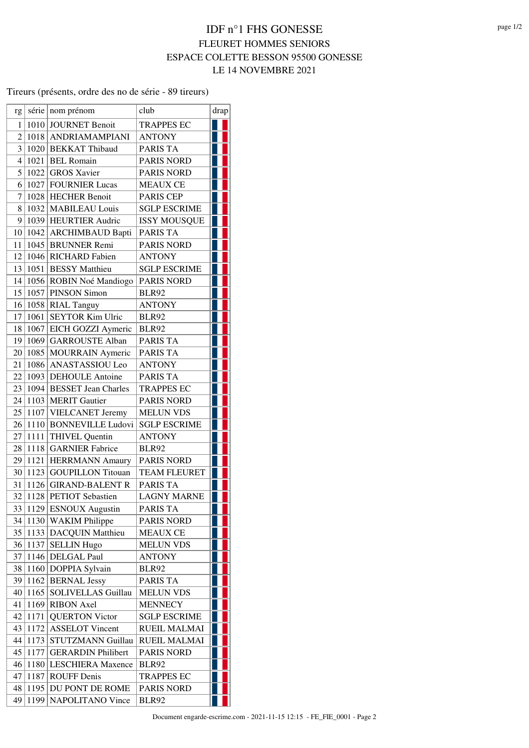### Tireurs (présents, ordre des no de série - 89 tireurs)

| rg             |      | série   nom prénom         | club                | drap |  |
|----------------|------|----------------------------|---------------------|------|--|
| 1              | 1010 | <b>JOURNET Benoit</b>      | <b>TRAPPES EC</b>   |      |  |
| $\overline{2}$ |      | 1018 ANDRIAMAMPIANI        | <b>ANTONY</b>       |      |  |
| 3              | 1020 | <b>BEKKAT Thibaud</b>      | <b>PARIS TA</b>     |      |  |
| 4              | 1021 | <b>BEL Romain</b>          | <b>PARIS NORD</b>   |      |  |
| 5              | 1022 | <b>GROS Xavier</b>         | <b>PARIS NORD</b>   |      |  |
| 6              |      | 1027 FOURNIER Lucas        | <b>MEAUX CE</b>     |      |  |
| 7              | 1028 | <b>HECHER Benoit</b>       | <b>PARIS CEP</b>    |      |  |
| 8              | 1032 | <b>MABILEAU Louis</b>      | <b>SGLP ESCRIME</b> |      |  |
| 9 <sup>1</sup> |      | 1039 HEURTIER Audric       | <b>ISSY MOUSQUE</b> |      |  |
| 10             |      | 1042 ARCHIMBAUD Bapti      | <b>PARIS TA</b>     |      |  |
| 11             | 1045 | <b>BRUNNER</b> Remi        | <b>PARIS NORD</b>   |      |  |
| 12             |      | 1046 RICHARD Fabien        | <b>ANTONY</b>       |      |  |
| 13             | 1051 | <b>BESSY Matthieu</b>      | <b>SGLP ESCRIME</b> |      |  |
| 14             |      | 1056 ROBIN Noé Mandiogo    | <b>PARIS NORD</b>   |      |  |
| 15             | 1057 | <b>PINSON Simon</b>        | <b>BLR92</b>        |      |  |
| 16             | 1058 | <b>RIAL Tanguy</b>         | <b>ANTONY</b>       |      |  |
| 17             | 1061 | <b>SEYTOR Kim Ulric</b>    | <b>BLR92</b>        |      |  |
| 18             | 1067 | EICH GOZZI Aymeric         | <b>BLR92</b>        |      |  |
| 19             | 1069 | <b>GARROUSTE Alban</b>     | <b>PARIS TA</b>     |      |  |
| 20             | 1085 | MOURRAIN Aymeric           | PARIS TA            |      |  |
| 21             |      | 1086 ANASTASSIOU Leo       | <b>ANTONY</b>       |      |  |
| 22             | 1093 | <b>DEHOULE</b> Antoine     | <b>PARIS TA</b>     |      |  |
| 23             | 1094 | <b>BESSET Jean Charles</b> | <b>TRAPPES EC</b>   |      |  |
| 24             | 1103 | <b>MERIT</b> Gautier       | <b>PARIS NORD</b>   |      |  |
| 25             | 1107 | <b>VIELCANET Jeremy</b>    | <b>MELUN VDS</b>    |      |  |
| 26             | 1110 | <b>BONNEVILLE Ludovi</b>   | <b>SGLP ESCRIME</b> |      |  |
| 27             | 1111 | <b>THIVEL Quentin</b>      | <b>ANTONY</b>       |      |  |
| 28             | 1118 | <b>GARNIER Fabrice</b>     | <b>BLR92</b>        |      |  |
| 29             | 1121 | <b>HERRMANN Amaury</b>     | <b>PARIS NORD</b>   |      |  |
| 30             | 1123 | <b>GOUPILLON</b> Titouan   | <b>TEAM FLEURET</b> |      |  |
| 31             |      | 1126 GIRAND-BALENT R       | <b>PARIS TA</b>     |      |  |
| 32             |      | 1128 PETIOT Sebastien      | <b>LAGNY MARNE</b>  |      |  |
| 33             |      | 1129 ESNOUX Augustin       | PARIS TA            |      |  |
| 34             |      | 1130 WAKIM Philippe        | PARIS NORD          |      |  |
| 35             |      | 1133 DACQUIN Matthieu      | <b>MEAUX CE</b>     |      |  |
| 36             | 1137 | <b>SELLIN Hugo</b>         | <b>MELUN VDS</b>    |      |  |
| 37             | 1146 | <b>DELGAL Paul</b>         | <b>ANTONY</b>       |      |  |
| 38             | 1160 | DOPPIA Sylvain             | <b>BLR92</b>        |      |  |
| 39             | 1162 | <b>BERNAL Jessy</b>        | PARIS TA            |      |  |
| 40             | 1165 | SOLIVELLAS Guillau         | <b>MELUN VDS</b>    |      |  |
| 41             | 1169 | <b>RIBON</b> Axel          | <b>MENNECY</b>      |      |  |
| 42             | 1171 | <b>QUERTON Victor</b>      | <b>SGLP ESCRIME</b> |      |  |
| 43             | 1172 | <b>ASSELOT Vincent</b>     | <b>RUEIL MALMAI</b> |      |  |
| 44             | 1173 | STUTZMANN Guillau          | <b>RUEIL MALMAI</b> |      |  |
| 45             | 1177 | <b>GERARDIN Philibert</b>  | PARIS NORD          |      |  |
| 46             | 1180 | <b>LESCHIERA</b> Maxence   | <b>BLR92</b>        |      |  |
| 47             | 1187 | <b>ROUFF Denis</b>         | <b>TRAPPES EC</b>   |      |  |
| 48             | 1195 | DU PONT DE ROME            | <b>PARIS NORD</b>   |      |  |
| 49             | 1199 | NAPOLITANO Vince           | <b>BLR92</b>        |      |  |
|                |      |                            |                     |      |  |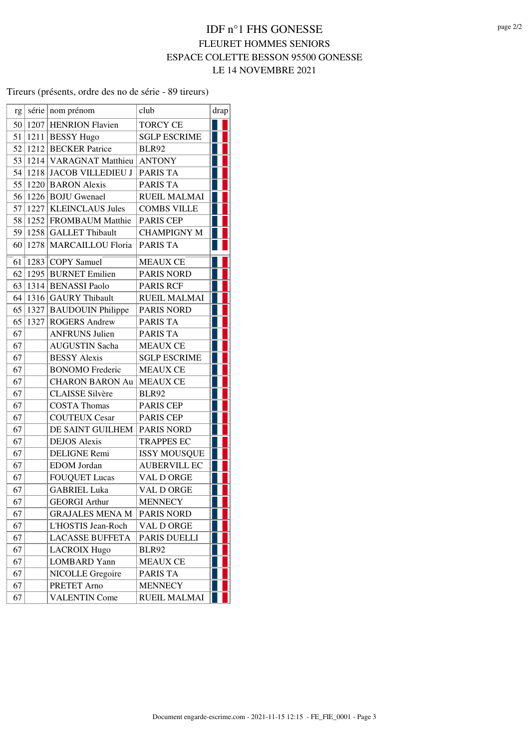### Tireurs (présents, ordre des no de série - 89 tireurs)

| rg | série     | nom prénom                    | club                |   | drap |
|----|-----------|-------------------------------|---------------------|---|------|
|    | 50   1207 | <b>HENRION Flavien</b>        | <b>TORCY CE</b>     |   |      |
| 51 |           | $ 1211 $ BESSY Hugo           | <b>SGLP ESCRIME</b> |   |      |
| 52 |           | 1212 BECKER Patrice           | <b>BLR92</b>        |   |      |
| 53 |           | 1214 VARAGNAT Matthieu        | <b>ANTONY</b>       |   |      |
|    |           | 54   1218   JACOB VILLEDIEU J | <b>PARIS TA</b>     |   |      |
|    |           | $55 1220 $ BARON Alexis       | <b>PARIS TA</b>     |   |      |
|    |           | 56   1226   BOJU Gwenael      | <b>RUEIL MALMAI</b> |   |      |
| 57 |           | 1227   KLEINCLAUS Jules       | <b>COMBS VILLE</b>  |   |      |
| 58 |           | 1252 FROMBAUM Matthie         | <b>PARIS CEP</b>    |   |      |
|    |           | 59   1258   GALLET Thibault   | <b>CHAMPIGNY M</b>  |   |      |
| 60 | 1278      | <b>MARCAILLOU Floria</b>      | <b>PARIS TA</b>     |   |      |
| 61 | 1283      | <b>COPY</b> Samuel            | <b>MEAUX CE</b>     |   |      |
| 62 |           | 1295 BURNET Emilien           | <b>PARIS NORD</b>   |   |      |
|    |           | 63   1314   BENASSI Paolo     | <b>PARIS RCF</b>    |   |      |
|    |           | $64$ 1316 GAURY Thibault      | RUEIL MALMAI        |   |      |
| 65 |           | 1327 BAUDOUIN Philippe        | <b>PARIS NORD</b>   |   |      |
| 65 | 1327      | <b>ROGERS Andrew</b>          | PARIS TA            |   |      |
| 67 |           | <b>ANFRUNS Julien</b>         | <b>PARIS TA</b>     |   |      |
| 67 |           | <b>AUGUSTIN Sacha</b>         | <b>MEAUX CE</b>     |   |      |
| 67 |           | <b>BESSY Alexis</b>           | <b>SGLP ESCRIME</b> |   |      |
| 67 |           | <b>BONOMO</b> Frederic        | <b>MEAUX CE</b>     |   |      |
| 67 |           | <b>CHARON BARON Au</b>        | <b>MEAUX CE</b>     |   |      |
| 67 |           | <b>CLAISSE Silvère</b>        | <b>BLR92</b>        |   |      |
| 67 |           | <b>COSTA Thomas</b>           | <b>PARIS CEP</b>    |   |      |
| 67 |           | <b>COUTEUX Cesar</b>          | <b>PARIS CEP</b>    |   |      |
| 67 |           | DE SAINT GUILHEM              | <b>PARIS NORD</b>   |   |      |
| 67 |           | <b>DEJOS</b> Alexis           | <b>TRAPPES EC</b>   |   |      |
| 67 |           | <b>DELIGNE Remi</b>           | <b>ISSY MOUSQUE</b> |   |      |
| 67 |           | <b>EDOM</b> Jordan            | <b>AUBERVILL EC</b> |   |      |
| 67 |           | <b>FOUQUET Lucas</b>          | VAL D ORGE          |   |      |
| 67 |           | <b>GABRIEL Luka</b>           | VAL D ORGE          |   |      |
| 67 |           | <b>GEORGI Arthur</b>          | <b>MENNECY</b>      | ۰ |      |
| 67 |           | <b>GRAJALES MENA M</b>        | <b>PARIS NORD</b>   |   |      |
| 67 |           | L'HOSTIS Jean-Roch            | VAL D ORGE          |   |      |
| 67 |           | <b>LACASSE BUFFETA</b>        | PARIS DUELLI        |   |      |
| 67 |           | <b>LACROIX Hugo</b>           | <b>BLR92</b>        |   |      |
| 67 |           | <b>LOMBARD</b> Yann           | <b>MEAUX CE</b>     |   |      |
| 67 |           | NICOLLE Gregoire              | PARIS TA            |   |      |
| 67 |           | PRETET Arno                   | <b>MENNECY</b>      |   |      |
| 67 |           | <b>VALENTIN Come</b>          | <b>RUEIL MALMAI</b> |   |      |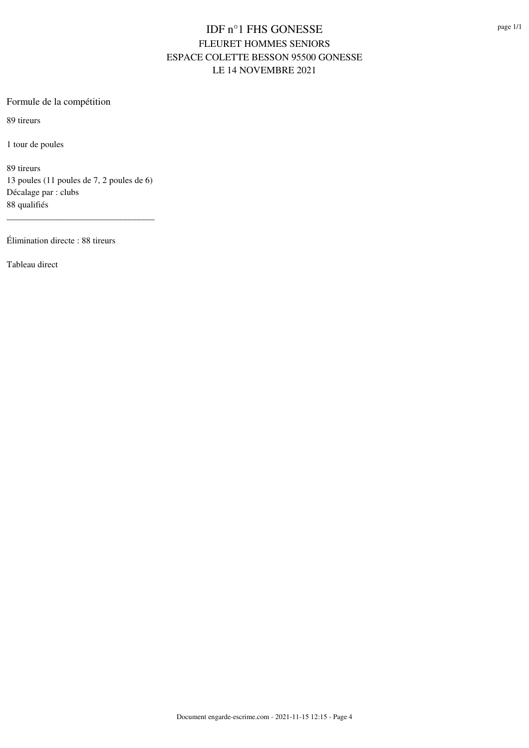#### Formule de la compétition

89 tireurs

1 tour de poules

89 tireurs 13 poules (11 poules de 7, 2 poules de 6) Décalage par : clubs 88 qualifiés

\_\_\_\_\_\_\_\_\_\_\_\_\_\_\_\_\_\_\_\_\_\_\_\_\_\_\_\_\_\_\_\_\_

Élimination directe : 88 tireurs

Tableau direct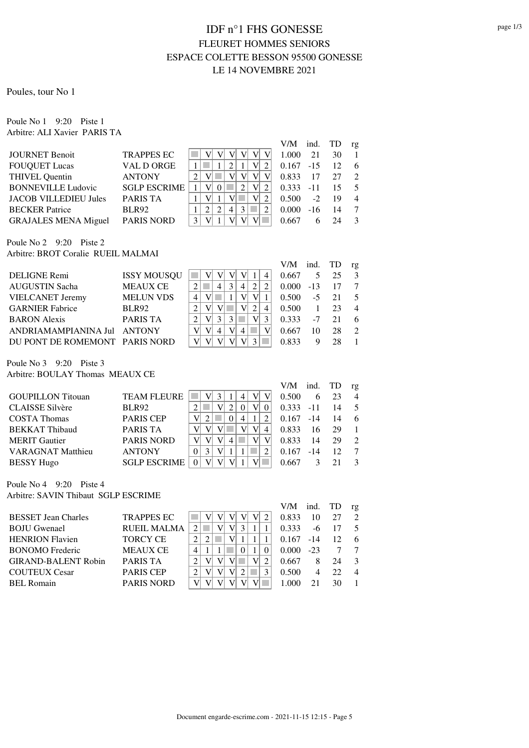Poules, tour No 1

Poule No 1 9:20 Piste 1 Arbitre: ALI Xavier PARIS TA

|                     |                                       | V/M   |       |       | rg      |
|---------------------|---------------------------------------|-------|-------|-------|---------|
| <b>TRAPPES EC</b>   |                                       | 1.000 | 21    | 30    |         |
| VAL D ORGE          | 2                                     | 0.167 | $-15$ | 12    |         |
| <b>ANTONY</b>       |                                       | 0.833 | 17    | 27    |         |
| <b>SGLP ESCRIME</b> | V<br>$\mathcal{D}_{\mathcal{L}}$<br>2 |       | $-11$ | 15    |         |
| <b>PARIS TA</b>     | V                                     | 0.500 | $-2$  | 19    |         |
| <b>BLR92</b>        | 4<br>3<br>2                           | 0.000 | $-16$ |       |         |
| <b>PARIS NORD</b>   |                                       | 0.667 |       |       |         |
|                     |                                       |       |       | 0.333 | ind. TD |

Poule No 2 9:20 Piste 2 Arbitre: BROT Coralie RUEIL MALMAI

|                                |                    |  |   |   |   |   |                             | V/M   | ind.  | TD | rg |
|--------------------------------|--------------------|--|---|---|---|---|-----------------------------|-------|-------|----|----|
| <b>DELIGNE</b> Remi            | <b>ISSY MOUSQU</b> |  |   |   |   |   | 4                           | 0.667 |       | 25 |    |
| <b>AUGUSTIN Sacha</b>          | <b>MEAUX CE</b>    |  | 4 | 3 | 4 | 2 | $\mathcal{D}_{\mathcal{L}}$ | 0.000 | $-13$ |    |    |
| <b>VIELCANET Jeremy</b>        | <b>MELUN VDS</b>   |  |   |   |   |   |                             | 0.500 | -5    |    |    |
| <b>GARNIER Fabrice</b>         | <b>BLR92</b>       |  |   |   |   | ∍ | 4                           | 0.500 |       | 23 |    |
| <b>BARON</b> Alexis            | <b>PARIS TA</b>    |  | 3 |   |   |   |                             | 0.333 | -7    |    |    |
| ANDRIAMAMPIANINA Jul ANTONY    |                    |  | 4 | V | 4 |   |                             | 0.667 | 10    | 28 |    |
| DU PONT DE ROMEMONT PARIS NORD |                    |  |   |   |   |   |                             | 0.833 |       |    |    |

Poule No 3 9:20 Piste 3 Arbitre: BOULAY Thomas MEAUX CE

|                          |                     |  |  |   |   | V/M   | ind.  | TD | rg |
|--------------------------|---------------------|--|--|---|---|-------|-------|----|----|
| <b>GOUPILLON</b> Titouan | <b>TEAM FLEURE</b>  |  |  | 4 | V | 0.500 |       |    |    |
| <b>CLAISSE Silvère</b>   | <b>BLR92</b>        |  |  |   |   | 0.333 | $-11$ | 14 |    |
| <b>COSTA Thomas</b>      | <b>PARIS CEP</b>    |  |  | 4 |   | 0.167 | $-14$ | 14 |    |
| <b>BEKKAT Thibaud</b>    | <b>PARIS TA</b>     |  |  |   | 4 | 0.833 | 16    | 29 |    |
| <b>MERIT Gautier</b>     | <b>PARIS NORD</b>   |  |  |   |   | 0.833 | 14    | 29 |    |
| <b>VARAGNAT Matthieu</b> | <b>ANTONY</b>       |  |  |   | 2 | 0.167 | $-14$ |    |    |
| <b>BESSY Hugo</b>        | <b>SGLP ESCRIME</b> |  |  |   |   | 0.667 |       |    |    |

Poule No 4 9:20 Piste 4 Arbitre: SAVIN Thibaut SGLP ESCRIME

|                            |                    |  |  |  |   | V/M   | ind.  |    | rg |
|----------------------------|--------------------|--|--|--|---|-------|-------|----|----|
| <b>BESSET Jean Charles</b> | <b>TRAPPES EC</b>  |  |  |  |   | 0.833 | 10    | 27 |    |
| <b>BOJU</b> Gwenael        | <b>RUEIL MALMA</b> |  |  |  |   | 0.333 | -6    |    |    |
| <b>HENRION</b> Flavien     | <b>TORCY CE</b>    |  |  |  |   | 0.167 | $-14$ |    |    |
| <b>BONOMO</b> Frederic     | <b>MEAUX CE</b>    |  |  |  |   | 0.000 | $-23$ |    |    |
| GIRAND-BALENT Robin        | PARIS TA           |  |  |  |   | 0.667 |       | 24 |    |
| <b>COUTEUX Cesar</b>       | <b>PARIS CEP</b>   |  |  |  | 3 | 0.500 |       | 22 |    |
| BEL Romain                 | <b>PARIS NORD</b>  |  |  |  |   |       |       |    |    |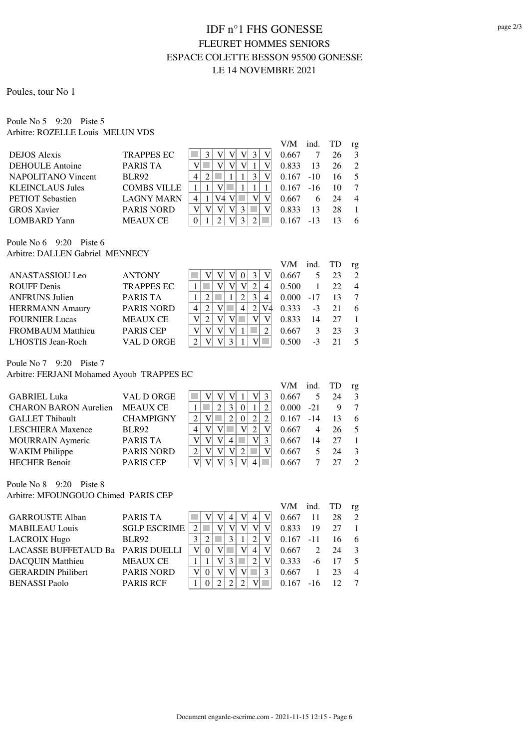Poules, tour No 1

#### Poule No 5 9:20 Piste 5 Arbitre: ROZELLE Louis MELUN VDS

|                         |                    |   | V/M   | ind.  | TD  | rg |
|-------------------------|--------------------|---|-------|-------|-----|----|
| <b>DEJOS</b> Alexis     | <b>TRAPPES EC</b>  |   | 0.667 |       | 26  |    |
| <b>DEHOULE</b> Antoine  | PARIS TA           |   | 0.833 | 13    | 26  |    |
| NAPOLITANO Vincent      | <b>BLR92</b>       | 4 | 0.167 | $-10$ | 16. |    |
| <b>KLEINCLAUS Jules</b> | <b>COMBS VILLE</b> |   | 0.167 | $-16$ |     |    |
| <b>PETIOT</b> Sebastien | <b>LAGNY MARN</b>  | 4 | 0.667 | 6     | 24  |    |
| <b>GROS Xavier</b>      | <b>PARIS NORD</b>  |   | 0.833 | 13    | 28  |    |
| <b>LOMBARD</b> Yann     | <b>MEAUX CE</b>    |   |       | $-13$ |     |    |

Poule No 6 9:20 Piste 6 Arbitre: DALLEN Gabriel MENNECY

|                          |                   |   |  |          |    | V/M   | ind.  | TD | rg |
|--------------------------|-------------------|---|--|----------|----|-------|-------|----|----|
| ANASTASSIOU Leo          | <b>ANTONY</b>     |   |  | $\theta$ | v  | 0.667 |       | 23 |    |
| <b>ROUFF Denis</b>       | <b>TRAPPES EC</b> |   |  | V        | 4  | 0.500 |       | 22 |    |
| <b>ANFRUNS Julien</b>    | <b>PARIS TA</b>   |   |  |          | 4  | 0.000 | $-17$ | 13 |    |
| <b>HERRMANN Amaury</b>   | <b>PARIS NORD</b> | 4 |  |          | V4 | 0.333 | $-3$  |    |    |
| <b>FOURNIER Lucas</b>    | <b>MEAUX CE</b>   |   |  |          |    | 0.833 | 14    | 27 |    |
| <b>FROMBAUM Matthieu</b> | <b>PARIS CEP</b>  |   |  |          |    | 0.667 |       | 23 |    |
| L'HOSTIS Jean-Roch       | VAL D ORGE        |   |  |          |    | 0.500 |       |    |    |

Poule No 7 9:20 Piste 7

Arbitre: FERJANI Mohamed Ayoub TRAPPES EC

|                              |                   |   |   |   |   |          |   | $V/M$ ind. TD |       |    | rg |
|------------------------------|-------------------|---|---|---|---|----------|---|---------------|-------|----|----|
| <b>GABRIEL Luka</b>          | <b>VAL D ORGE</b> |   |   |   |   |          |   | 0.667         | 5     | 24 |    |
| <b>CHARON BARON Aurelien</b> | <b>MEAUX CE</b>   |   |   |   |   |          | 2 | 0.000         | $-21$ |    |    |
| <b>GALLET Thibault</b>       | <b>CHAMPIGNY</b>  |   |   |   |   | $\Omega$ | 2 | 0.167         | $-14$ | 13 |    |
| <b>LESCHIERA</b> Maxence     | <b>BLR92</b>      | 4 | V |   |   |          |   | 0.667         |       | 26 |    |
| <b>MOURRAIN</b> Aymeric      | <b>PARIS TA</b>   |   |   | V | 4 |          |   | 0.667         | 14    | 27 |    |
| <b>WAKIM Philippe</b>        | <b>PARIS NORD</b> |   |   | V |   |          |   | 0.667         |       | 24 |    |
| <b>HECHER Benoit</b>         | <b>PARIS CEP</b>  |   |   |   |   |          |   | 0.667         |       |    |    |

Poule No 8 9:20 Piste 8 Arbitre: MFOUNGOUO Chimed PARIS CEP

|                                   |                     |  |   |   | V/M   | ind.                     |     | rg |
|-----------------------------------|---------------------|--|---|---|-------|--------------------------|-----|----|
| <b>GARROUSTE Alban</b>            | <b>PARIS TA</b>     |  |   | 4 | 0.667 |                          | 28  |    |
| <b>MABILEAU Louis</b>             | <b>SGLP ESCRIME</b> |  | V |   | 0.833 | 19                       |     |    |
| <b>LACROIX Hugo</b>               | BLR92               |  |   |   | 0.167 | $-11$                    | 16. |    |
| LACASSE BUFFETAUD Ba PARIS DUELLI |                     |  |   | 4 | 0.667 |                          | 24  |    |
| <b>DACQUIN Matthieu</b>           | <b>MEAUX CE</b>     |  |   |   | 0.333 | -6                       |     |    |
| <b>GERARDIN</b> Philibert         | <b>PARIS NORD</b>   |  | V |   | 0.667 |                          | 23  |    |
| <b>BENASSI Paolo</b>              | <b>PARIS RCF</b>    |  |   |   | 0.167 | $\overline{\phantom{0}}$ |     |    |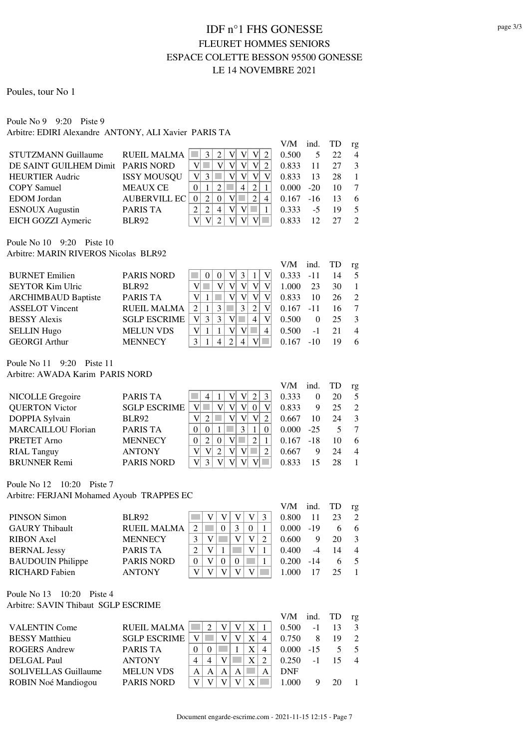Poules, tour No 1

Poule No 9 9:20 Piste 9 Arbitre: EDIRI Alexandre ANTONY, ALI Xavier PARIS TA

|                                   |                     |        |   |   |   |                | V/M   | ind. TD |     | rg |
|-----------------------------------|---------------------|--------|---|---|---|----------------|-------|---------|-----|----|
| <b>STUTZMANN Guillaume</b>        | <b>RUEIL MALMA</b>  |        |   |   |   | 2              | 0.500 | 5.      | 22  |    |
| DE SAINT GUILHEM Dimit PARIS NORD |                     |        |   |   |   |                | 0.833 | 11      |     |    |
| <b>HEURTIER Audric</b>            | <b>ISSY MOUSQU</b>  | V      |   |   |   |                | 0.833 | 13      | 28  |    |
| <b>COPY Samuel</b>                | <b>MEAUX CE</b>     |        |   |   | 4 | 2 <sup>1</sup> | 0.000 | $-20$   | 10  |    |
| <b>EDOM</b> Jordan                | <b>AUBERVILL EC</b> |        |   |   |   | 4              | 0.167 | $-16$   | 13  | 6  |
| <b>ESNOUX</b> Augustin            | <b>PARIS TA</b>     |        | 4 | V |   |                | 0.333 | $-5$    | -19 |    |
| EICH GOZZI Aymeric                | <b>BLR92</b>        | V<br>V |   |   |   |                | 0.833 |         |     |    |

Poule No 10 9:20 Piste 10 Arbitre: MARIN RIVEROS Nicolas BLR92

|                            |                     |  |   |              |                |                | V/M   | ind.      | TD | rg |
|----------------------------|---------------------|--|---|--------------|----------------|----------------|-------|-----------|----|----|
| <b>BURNET Emilien</b>      | <b>PARIS NORD</b>   |  |   | 3            |                | V              | 0.333 | $-11$     | 14 |    |
| <b>SEYTOR Kim Ulric</b>    | <b>BLR92</b>        |  |   | V            | V              | V              | 1.000 | 23        | 30 |    |
| <b>ARCHIMBAUD Baptiste</b> | <b>PARIS TA</b>     |  |   | $\mathbf{V}$ | V              | V              | 0.833 | 10        | 26 |    |
| <b>ASSELOT</b> Vincent     | <b>RUEIL MALMA</b>  |  | 3 | 3            |                | V              | 0.167 | $-11$     |    |    |
| <b>BESSY Alexis</b>        | <b>SGLP ESCRIME</b> |  | 3 |              | 4 <sup>1</sup> | V              | 0.500 | $\Omega$  | 25 |    |
| <b>SELLIN Hugo</b>         | <b>MELUN VDS</b>    |  |   |              |                | $\overline{4}$ | 0.500 | $-1$      | 21 |    |
| <b>GEORGI Arthur</b>       | <b>MENNECY</b>      |  |   | 4            | V              |                | 0.167 | $-10^{-}$ |    |    |

Poule No 11 9:20 Piste 11 Arbitre: AWADA Karim PARIS NORD

|                           |                     |   |   |   |   |                |   | V/M   | ind.   | - TD | rg |
|---------------------------|---------------------|---|---|---|---|----------------|---|-------|--------|------|----|
| NICOLLE Gregoire          | <b>PARIS TA</b>     |   | 4 |   |   |                | 3 | 0.333 |        |      |    |
| <b>QUERTON Victor</b>     | <b>SGLP ESCRIME</b> | V |   |   |   |                |   | 0.833 |        | 25   |    |
| DOPPIA Sylvain            | <b>BLR92</b>        |   |   |   |   |                |   | 0.667 | 10     | 24   |    |
| <b>MARCAILLOU Florian</b> | <b>PARIS TA</b>     | 0 |   |   | 3 |                |   | 0.000 | $-2.5$ |      |    |
| PRETET Arno               | <b>MENNECY</b>      |   |   |   |   | $\overline{2}$ |   | 0.167 | $-18$  |      |    |
| <b>RIAL Tanguy</b>        | <b>ANTONY</b>       |   |   | 2 |   |                | 2 | 0.667 |        | 24   |    |
| <b>BRUNNER</b> Remi       | <b>PARIS NORD</b>   |   |   |   |   |                |   | 0.833 |        |      |    |

Poule No 12 10:20 Piste 7 Arbitre: FERJANI Mohamed Ayoub TRAPPES EC

|                          |                    |   |  |          |   | V/M   | ind.  | TD | rg |
|--------------------------|--------------------|---|--|----------|---|-------|-------|----|----|
| PINSON Simon             | <b>BLR92</b>       |   |  |          | V | 0.800 | 11    |    |    |
| <b>GAURY Thibault</b>    | <b>RUEIL MALMA</b> | ↑ |  | 2        |   | 0.000 | $-19$ |    |    |
| <b>RIBON</b> Axel        | <b>MENNECY</b>     |   |  |          |   | 0.600 | Q     | 20 |    |
| <b>BERNAL Jessy</b>      | PARIS TA           |   |  |          |   | 0.400 |       | 14 |    |
| <b>BAUDOUIN</b> Philippe | <b>PARIS NORD</b>  |   |  | $\theta$ |   | 0.200 | $-14$ |    |    |
| <b>RICHARD</b> Fabien    | <b>ANTONY</b>      |   |  |          |   |       |       |    |    |

Poule No 13 10:20 Piste 4 Arbitre: SAVIN Thibaut SGLP ESCRIME

|                             |                     |   |          |   |   |   |   | V/M        | ind.  | -TD | rg |
|-----------------------------|---------------------|---|----------|---|---|---|---|------------|-------|-----|----|
| <b>VALENTIN</b> Come        | <b>RUEIL MALMA</b>  |   |          |   |   | X |   | 0.500      | $-1$  |     |    |
| <b>BESSY Matthieu</b>       | <b>SGLP ESCRIME</b> |   |          |   |   |   | 4 | 0.750      |       | 19  |    |
| <b>ROGERS Andrew</b>        | <b>PARIS TA</b>     |   | $\Omega$ |   |   |   | 4 | 0.000      | $-15$ |     |    |
| <b>DELGAL Paul</b>          | <b>ANTONY</b>       | 4 | 4        |   |   | Х |   | 0.250      | $-1$  |     |    |
| <b>SOLIVELLAS Guillaume</b> | <b>MELUN VDS</b>    |   | А        | A | А |   | A | <b>DNF</b> |       |     |    |
| ROBIN Noé Mandiogou         | <b>PARIS NORD</b>   |   |          |   |   |   |   | 1.000      |       |     |    |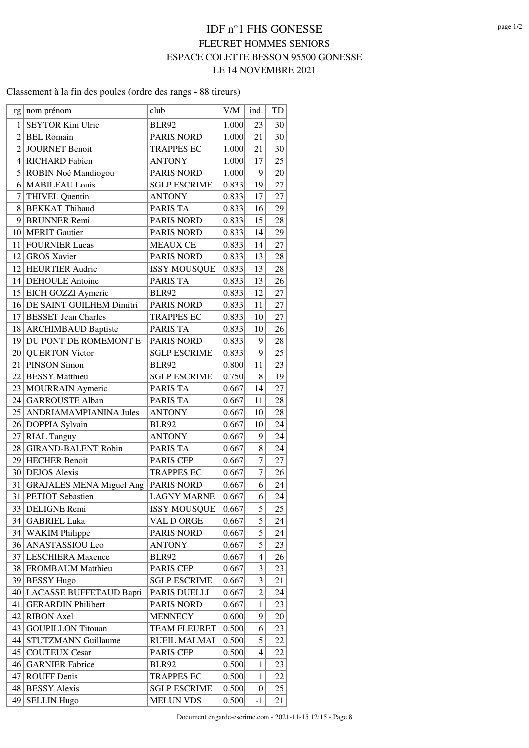### Classement à la fin des poules (ordre des rangs - 88 tireurs)

| rg              | nom prénom                      | club                | V/M   | ind.                    | TD |
|-----------------|---------------------------------|---------------------|-------|-------------------------|----|
| 1               | <b>SEYTOR Kim Ulric</b>         | <b>BLR92</b>        | 1.000 | 23                      | 30 |
| $\overline{2}$  | <b>BEL Romain</b>               | <b>PARIS NORD</b>   | 1.000 | 21                      | 30 |
| $\overline{2}$  | <b>JOURNET Benoit</b>           | <b>TRAPPES EC</b>   | 1.000 | 21                      | 30 |
| 4               | <b>RICHARD</b> Fabien           | <b>ANTONY</b>       | 1.000 | 17                      | 25 |
| 5               | ROBIN Noé Mandiogou             | PARIS NORD          | 1.000 | 9                       | 20 |
| 6               | <b>MABILEAU Louis</b>           | <b>SGLP ESCRIME</b> | 0.833 | 19                      | 27 |
| 7               | <b>THIVEL Quentin</b>           | <b>ANTONY</b>       | 0.833 | 17                      | 27 |
| 8               | <b>BEKKAT Thibaud</b>           | <b>PARIS TA</b>     | 0.833 | 16                      | 29 |
| 9               | <b>BRUNNER</b> Remi             | PARIS NORD          | 0.833 | 15                      | 28 |
|                 | 10 MERIT Gautier                | <b>PARIS NORD</b>   | 0.833 | 14                      | 29 |
| 11              | <b>FOURNIER Lucas</b>           | <b>MEAUX CE</b>     | 0.833 | 14                      | 27 |
| 12              | <b>GROS Xavier</b>              | <b>PARIS NORD</b>   | 0.833 | 13                      | 28 |
|                 | 12 HEURTIER Audric              | <b>ISSY MOUSQUE</b> | 0.833 | 13                      | 28 |
|                 | 14 DEHOULE Antoine              | <b>PARIS TA</b>     | 0.833 | 13                      | 26 |
| 15              | <b>EICH GOZZI Aymeric</b>       | <b>BLR92</b>        | 0.833 | 12                      | 27 |
|                 | 16 DE SAINT GUILHEM Dimitri     | <b>PARIS NORD</b>   | 0.833 | 11                      | 27 |
| 17              | <b>BESSET Jean Charles</b>      | <b>TRAPPES EC</b>   | 0.833 | 10                      | 27 |
| 18              | <b>ARCHIMBAUD Baptiste</b>      | PARIS TA            | 0.833 | 10                      | 26 |
| 19              | <b>DU PONT DE ROMEMONT E</b>    | <b>PARIS NORD</b>   | 0.833 | 9                       | 28 |
| 20 <sub>1</sub> | <b>QUERTON Victor</b>           | <b>SGLP ESCRIME</b> | 0.833 | 9                       | 25 |
| 21              | <b>PINSON Simon</b>             | <b>BLR92</b>        | 0.800 | 11                      | 23 |
| 22              | <b>BESSY Matthieu</b>           | <b>SGLP ESCRIME</b> | 0.750 | 8                       | 19 |
| 23              | <b>MOURRAIN</b> Aymeric         | PARIS TA            | 0.667 | 14                      | 27 |
| 24              | <b>GARROUSTE Alban</b>          | PARIS TA            | 0.667 | 11                      | 28 |
| 25              | ANDRIAMAMPIANINA Jules          | <b>ANTONY</b>       | 0.667 | 10                      | 28 |
| 26              | DOPPIA Sylvain                  | <b>BLR92</b>        | 0.667 | 10                      | 24 |
| 27              | <b>RIAL Tanguy</b>              | <b>ANTONY</b>       | 0.667 | 9                       | 24 |
| 28              | <b>GIRAND-BALENT Robin</b>      | <b>PARIS TA</b>     | 0.667 | 8                       | 24 |
| 29              | <b>HECHER Benoit</b>            | <b>PARIS CEP</b>    | 0.667 | 7                       | 27 |
| 30              | <b>DEJOS</b> Alexis             | <b>TRAPPES EC</b>   | 0.667 | $\overline{7}$          | 26 |
| 31              | <b>GRAJALES MENA Miguel Ang</b> | <b>PARIS NORD</b>   | 0.667 | 6                       | 24 |
| 31              | <b>PETIOT</b> Sebastien         | <b>LAGNY MARNE</b>  | 0.667 | 6                       | 24 |
|                 | 33 DELIGNE Remi                 | <b>ISSY MOUSQUE</b> | 0.667 | 5                       | 25 |
|                 | 34 GABRIEL Luka                 | VAL D ORGE          | 0.667 | 5                       | 24 |
|                 | 34 WAKIM Philippe               | PARIS NORD          | 0.667 | 5                       | 24 |
|                 | 36 ANASTASSIOU Leo              | <b>ANTONY</b>       | 0.667 | 5                       | 23 |
| 37              | <b>LESCHIERA</b> Maxence        | <b>BLR92</b>        | 0.667 | $\overline{4}$          | 26 |
| 38              | <b>FROMBAUM Matthieu</b>        | PARIS CEP           | 0.667 | $\overline{\mathbf{3}}$ | 23 |
| 39              | <b>BESSY Hugo</b>               | <b>SGLP ESCRIME</b> | 0.667 | 3                       | 21 |
|                 | 40 LACASSE BUFFETAUD Bapti      | PARIS DUELLI        | 0.667 | $\overline{c}$          | 24 |
| 41              | <b>GERARDIN Philibert</b>       | <b>PARIS NORD</b>   | 0.667 | $\mathbf 1$             | 23 |
| 42              | <b>RIBON</b> Axel               | <b>MENNECY</b>      | 0.600 | 9                       | 20 |
| 43              | <b>GOUPILLON Titouan</b>        | <b>TEAM FLEURET</b> | 0.500 | 6                       | 23 |
| 44              | STUTZMANN Guillaume             | RUEIL MALMAI        | 0.500 | 5                       | 22 |
| 45              | <b>COUTEUX Cesar</b>            | PARIS CEP           | 0.500 | $\overline{4}$          | 22 |
| 46              | <b>GARNIER Fabrice</b>          | <b>BLR92</b>        | 0.500 | $\mathbf{1}$            | 23 |
| 47              | <b>ROUFF Denis</b>              | <b>TRAPPES EC</b>   | 0.500 | $\mathbf{1}$            | 22 |
| 48              | <b>BESSY Alexis</b>             | <b>SGLP ESCRIME</b> | 0.500 | $\boldsymbol{0}$        | 25 |
| 49              | <b>SELLIN Hugo</b>              | <b>MELUN VDS</b>    | 0.500 | $-1$                    | 21 |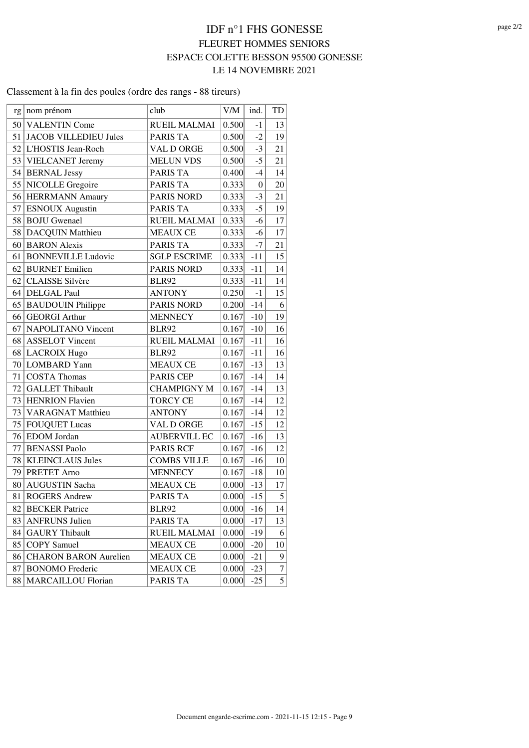### Classement à la fin des poules (ordre des rangs - 88 tireurs)

| rg | nom prénom                   | club                | V/M   | ind.             | TD               |
|----|------------------------------|---------------------|-------|------------------|------------------|
|    | 50 VALENTIN Come             | <b>RUEIL MALMAI</b> | 0.500 | $-1$             | 13               |
| 51 | <b>JACOB VILLEDIEU Jules</b> | PARIS TA            | 0.500 | $-2$             | 19               |
|    | 52 L'HOSTIS Jean-Roch        | VAL D ORGE          | 0.500 | $-3$             | 21               |
|    | 53   VIELCANET Jeremy        | <b>MELUN VDS</b>    | 0.500 | $-5$             | 21               |
|    | 54 BERNAL Jessy              | PARIS TA            | 0.400 | $-4$             | 14               |
|    | 55 NICOLLE Gregoire          | PARIS TA            | 0.333 | $\boldsymbol{0}$ | 20               |
|    | 56 HERRMANN Amaury           | <b>PARIS NORD</b>   | 0.333 | $-3$             | 21               |
| 57 | <b>ESNOUX Augustin</b>       | PARIS TA            | 0.333 | $-5$             | 19               |
| 58 | <b>BOJU</b> Gwenael          | RUEIL MALMAI        | 0.333 | $-6$             | 17               |
|    | 58 DACQUIN Matthieu          | <b>MEAUX CE</b>     | 0.333 | $-6$             | 17               |
|    | 60 BARON Alexis              | <b>PARIS TA</b>     | 0.333 | $-7$             | 21               |
| 61 | <b>BONNEVILLE Ludovic</b>    | <b>SGLP ESCRIME</b> | 0.333 | $-11$            | 15               |
| 62 | <b>BURNET</b> Emilien        | <b>PARIS NORD</b>   | 0.333 | $-11$            | 14               |
|    | 62 CLAISSE Silvère           | <b>BLR92</b>        | 0.333 | $\textbf{-}11$   | 14               |
|    | 64 DELGAL Paul               | <b>ANTONY</b>       | 0.250 | $-1$             | 15               |
|    | 65 BAUDOUIN Philippe         | <b>PARIS NORD</b>   | 0.200 | $-14$            | 6                |
| 66 | <b>GEORGI</b> Arthur         | <b>MENNECY</b>      | 0.167 | $-10$            | 19               |
| 67 | <b>NAPOLITANO Vincent</b>    | <b>BLR92</b>        | 0.167 | $-10$            | 16               |
|    | 68 ASSELOT Vincent           | <b>RUEIL MALMAI</b> | 0.167 | $-11$            | 16               |
|    | 68 LACROIX Hugo              | <b>BLR92</b>        | 0.167 | $-11$            | 16               |
|    | 70 LOMBARD Yann              | <b>MEAUX CE</b>     | 0.167 | $-13$            | 13               |
| 71 | COSTA Thomas                 | PARIS CEP           | 0.167 | $-14$            | 14               |
| 72 | <b>GALLET Thibault</b>       | <b>CHAMPIGNY M</b>  | 0.167 | $-14$            | 13               |
|    | 73 HENRION Flavien           | <b>TORCY CE</b>     | 0.167 | $-14$            | 12               |
| 73 | <b>VARAGNAT Matthieu</b>     | <b>ANTONY</b>       | 0.167 | $-14$            | 12               |
|    | 75 FOUQUET Lucas             | VAL D ORGE          | 0.167 | $-15$            | 12               |
|    | 76 EDOM Jordan               | <b>AUBERVILL EC</b> | 0.167 | $-16$            | 13               |
| 77 | <b>BENASSI</b> Paolo         | <b>PARIS RCF</b>    | 0.167 | $-16$            | 12               |
|    | 78   KLEINCLAUS Jules        | <b>COMBS VILLE</b>  | 0.167 | $-16$            | 10               |
|    | 79 PRETET Arno               | <b>MENNECY</b>      | 0.167 | $-18$            | 10               |
| 80 | <b>AUGUSTIN Sacha</b>        | <b>MEAUX CE</b>     | 0.000 | $-13$            | 17               |
| 81 | ROGERS Andrew                | <b>PARIS TA</b>     | 0.000 | $-15$            | $\sqrt{5}$       |
|    | 82 BECKER Patrice            | <b>BLR92</b>        | 0.000 | $-16$            | 14               |
| 83 | <b>ANFRUNS Julien</b>        | PARIS TA            | 0.000 | -17              | 13               |
| 84 | <b>GAURY Thibault</b>        | <b>RUEIL MALMAI</b> | 0.000 | $-19$            | 6                |
| 85 | <b>COPY Samuel</b>           | <b>MEAUX CE</b>     | 0.000 | $-20$            | 10               |
| 86 | <b>CHARON BARON Aurelien</b> | <b>MEAUX CE</b>     | 0.000 | $-21$            | 9                |
| 87 | <b>BONOMO</b> Frederic       | <b>MEAUX CE</b>     | 0.000 | $-23$            | $\boldsymbol{7}$ |
| 88 | <b>MARCAILLOU Florian</b>    | PARIS TA            | 0.000 | $-25$            | 5                |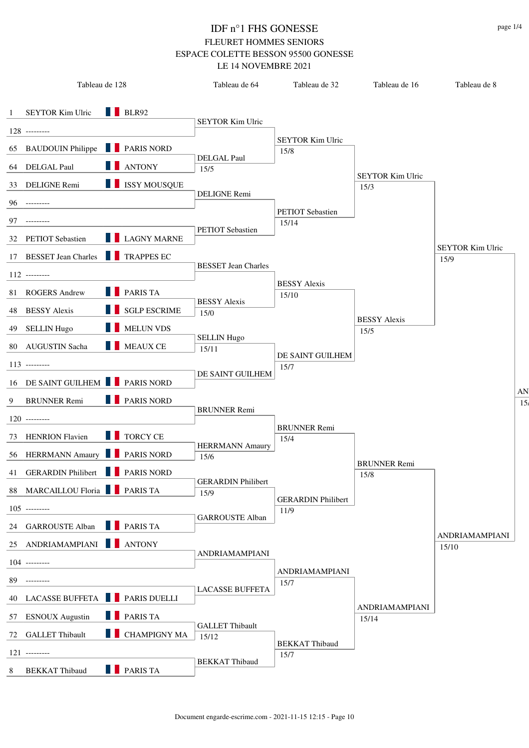| Tableau de 128                                      | Tableau de 64                   | Tableau de 32                 | Tableau de 16           | Tableau de 8     |                 |
|-----------------------------------------------------|---------------------------------|-------------------------------|-------------------------|------------------|-----------------|
| $\blacksquare$ BLR92<br>SEYTOR Kim Ulric<br>-1      |                                 |                               |                         |                  |                 |
| $128$ ---------                                     | SEYTOR Kim Ulric                |                               |                         |                  |                 |
| <b>FARIS NORD</b><br>65 BAUDOUIN Philippe           |                                 | SEYTOR Kim Ulric              |                         |                  |                 |
| <b>ANTONY</b><br>64 DELGAL Paul                     | <b>DELGAL Paul</b>              | 15/8                          |                         |                  |                 |
| <b>SET ISSY MOUSQUE</b><br>DELIGNE Remi             | 15/5                            |                               | <b>SEYTOR Kim Ulric</b> |                  |                 |
| 33                                                  | DELIGNE Remi                    |                               | 15/3                    |                  |                 |
| 96<br>97                                            |                                 | <b>PETIOT</b> Sebastien       |                         |                  |                 |
|                                                     | PETIOT Sebastien                | 15/14                         |                         |                  |                 |
| <b>LAGNY MARNE</b><br>PETIOT Sebastien<br>32        |                                 |                               |                         | SEYTOR Kim Ulric |                 |
| <b>TRAPPES EC</b><br>17 BESSET Jean Charles         | <b>BESSET Jean Charles</b>      |                               |                         | 15/9             |                 |
| $112$ ---------                                     |                                 | <b>BESSY Alexis</b>           |                         |                  |                 |
| <b>PARIS TA</b><br><b>ROGERS Andrew</b><br>81       | <b>BESSY Alexis</b>             | 15/10                         |                         |                  |                 |
| SGLP ESCRIME<br><b>BESSY Alexis</b><br>48           | 15/0                            |                               | <b>BESSY Alexis</b>     |                  |                 |
| <b>NELUN VDS</b><br><b>SELLIN Hugo</b><br>49        | <b>SELLIN Hugo</b>              |                               | 15/5                    |                  |                 |
| <b>NEAUX CE</b><br>80 AUGUSTIN Sacha                | 15/11                           | DE SAINT GUILHEM              |                         |                  |                 |
| $113$ ---------                                     | DE SAINT GUILHEM                | 15/7                          |                         |                  |                 |
| 16 DE SAINT GUILHEM PARIS NORD                      |                                 |                               |                         |                  | AN              |
| <b>FEED</b> PARIS NORD<br>9<br><b>BRUNNER Remi</b>  | <b>BRUNNER Remi</b>             |                               |                         |                  | 15 <sub>l</sub> |
| $120$ ---------                                     |                                 | <b>BRUNNER Remi</b>           |                         |                  |                 |
| <b>TORCY CE</b><br><b>HENRION</b> Flavien<br>73     | HERRMANN Amaury                 | 15/4                          |                         |                  |                 |
| 56 HERRMANN Amaury <b>PARIS NORD</b>                | 15/6                            |                               | <b>BRUNNER Remi</b>     |                  |                 |
| 41 GERARDIN Philibert PARIS NORD                    | <b>GERARDIN Philibert</b>       |                               | 15/8                    |                  |                 |
| 88 MARCAILLOU Floria PARIS TA                       | 15/9                            | <b>GERARDIN Philibert</b>     |                         |                  |                 |
| $105$ ---------                                     | <b>GARROUSTE Alban</b>          | 11/9                          |                         |                  |                 |
| <b>DEPARIS TA</b><br><b>GARROUSTE Alban</b><br>24   |                                 |                               |                         | ANDRIAMAMPIANI   |                 |
| 25 ANDRIAMAMPIANI ANTONY                            |                                 |                               |                         | 15/10            |                 |
| $104$ ---------                                     | ANDRIAMAMPIANI                  |                               |                         |                  |                 |
| 89                                                  |                                 | ANDRIAMAMPIANI<br>15/7        |                         |                  |                 |
| LACASSE BUFFETA PARIS DUELLI<br>40                  | <b>LACASSE BUFFETA</b>          |                               |                         |                  |                 |
| <b>PARIS TA</b><br><b>ESNOUX Augustin</b><br>57     |                                 |                               | ANDRIAMAMPIANI<br>15/14 |                  |                 |
| <b>CHAMPIGNY MA</b><br><b>GALLET</b> Thibault<br>72 | <b>GALLET Thibault</b><br>15/12 |                               |                         |                  |                 |
| $121$ ---------                                     |                                 | <b>BEKKAT</b> Thibaud<br>15/7 |                         |                  |                 |
| <b>PARIS TA</b><br><b>BEKKAT Thibaud</b><br>8       | <b>BEKKAT Thibaud</b>           |                               |                         |                  |                 |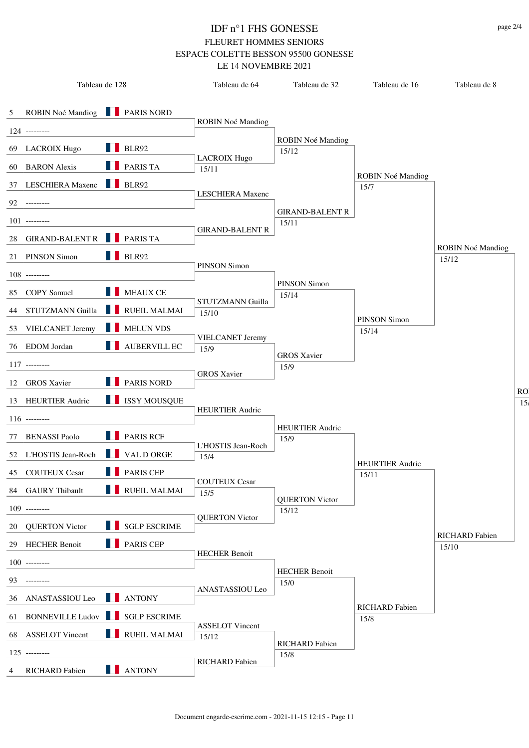|    |                              | Tableau de 128                   | Tableau de 64             | Tableau de 32                  | Tableau de 16          | Tableau de 8                   |                 |
|----|------------------------------|----------------------------------|---------------------------|--------------------------------|------------------------|--------------------------------|-----------------|
| 5  | ROBIN Noé Mandiog PARIS NORD |                                  |                           |                                |                        |                                |                 |
|    | $124$ ---------              |                                  | ROBIN Noé Mandiog         |                                |                        |                                |                 |
|    | <b>LACROIX Hugo</b>          | <b>BLR92</b>                     |                           | ROBIN Noé Mandiog              |                        |                                |                 |
| 69 |                              |                                  | <b>LACROIX Hugo</b>       | 15/12                          |                        |                                |                 |
| 60 | <b>BARON</b> Alexis          | <b>PARIS TA</b>                  | 15/11                     |                                | ROBIN Noé Mandiog      |                                |                 |
| 37 | <b>LESCHIERA</b> Maxenc      | <b>BLR92</b>                     | <b>LESCHIERA</b> Maxenc   |                                | 15/7                   |                                |                 |
| 92 | ---------                    |                                  |                           | <b>GIRAND-BALENT R</b>         |                        |                                |                 |
|    | $101$ ---------              |                                  | <b>GIRAND-BALENT R</b>    | 15/11                          |                        |                                |                 |
| 28 | <b>GIRAND-BALENT R</b>       | <b>PARIS TA</b>                  |                           |                                |                        | ROBIN Noé Mandiog              |                 |
| 21 | PINSON Simon                 | <b>BLR92</b>                     |                           |                                |                        | 15/12                          |                 |
|    | $108$ ---------              |                                  | PINSON Simon              |                                |                        |                                |                 |
| 85 | <b>COPY</b> Samuel           | <b>NEAUX CE</b>                  |                           | PINSON Simon<br>15/14          |                        |                                |                 |
| 44 | STUTZMANN Guilla             | <b>NEXT RUEIL MALMAI</b>         | STUTZMANN Guilla<br>15/10 |                                |                        |                                |                 |
| 53 | VIELCANET Jeremy             | <b>MELUN VDS</b>                 |                           |                                | PINSON Simon<br>15/14  |                                |                 |
|    | 76 EDOM Jordan               | AUBERVILL EC                     | <b>VIELCANET</b> Jeremy   |                                |                        |                                |                 |
|    | $117$ ---------              |                                  | 15/9                      | <b>GROS Xavier</b>             |                        |                                |                 |
|    |                              |                                  | <b>GROS Xavier</b>        | 15/9                           |                        |                                |                 |
| 12 | <b>GROS Xavier</b>           | <b>PARIS NORD</b>                |                           |                                |                        |                                | <b>RO</b>       |
|    | 13 HEURTIER Audric           | <b>SET ISSY MOUSQUE</b>          | <b>HEURTIER Audric</b>    |                                |                        |                                | 15 <sub>l</sub> |
|    | $116$ ---------              |                                  |                           | <b>HEURTIER Audric</b>         |                        |                                |                 |
| 77 | <b>BENASSI Paolo</b>         | <b>PARIS RCF</b>                 | L'HOSTIS Jean-Roch        | 15/9                           |                        |                                |                 |
|    | 52 L'HOSTIS Jean-Roch        | VAL D ORGE<br>n e s              | 15/4                      |                                | <b>HEURTIER Audric</b> |                                |                 |
|    | 45 COUTEUX Cesar             | PARIS CEP                        | <b>COUTEUX Cesar</b>      |                                | 15/11                  |                                |                 |
|    | 84 GAURY Thibault            | RUEIL MALMAI                     | 15/5                      |                                |                        |                                |                 |
|    | $109$ ---------              |                                  |                           | <b>QUERTON Victor</b><br>15/12 |                        |                                |                 |
| 20 | <b>QUERTON Victor</b>        | <b>SGLP ESCRIME</b><br>$\Box$    | <b>QUERTON Victor</b>     |                                |                        |                                |                 |
|    | 29 HECHER Benoit             | <b>FEED</b> PARIS CEP            |                           |                                |                        | <b>RICHARD</b> Fabien<br>15/10 |                 |
|    | $100$ ---------              |                                  | <b>HECHER Benoit</b>      |                                |                        |                                |                 |
| 93 |                              |                                  |                           | <b>HECHER Benoit</b><br>15/0   |                        |                                |                 |
| 36 | ANASTASSIOU Leo              | <b>ANTONY</b>                    | ANASTASSIOU Leo           |                                |                        |                                |                 |
|    |                              | 61 BONNEVILLE Ludov SGLP ESCRIME |                           |                                | <b>RICHARD</b> Fabien  |                                |                 |
|    | <b>ASSELOT Vincent</b>       | <b>NEXT RUEIL MALMAI</b>         | <b>ASSELOT Vincent</b>    |                                | 15/8                   |                                |                 |
| 68 |                              |                                  | 15/12                     | <b>RICHARD</b> Fabien          |                        |                                |                 |
|    | $125$ ---------              |                                  | RICHARD Fabien            | 15/8                           |                        |                                |                 |
| 4  | RICHARD Fabien               | <b>ANTONY</b>                    |                           |                                |                        |                                |                 |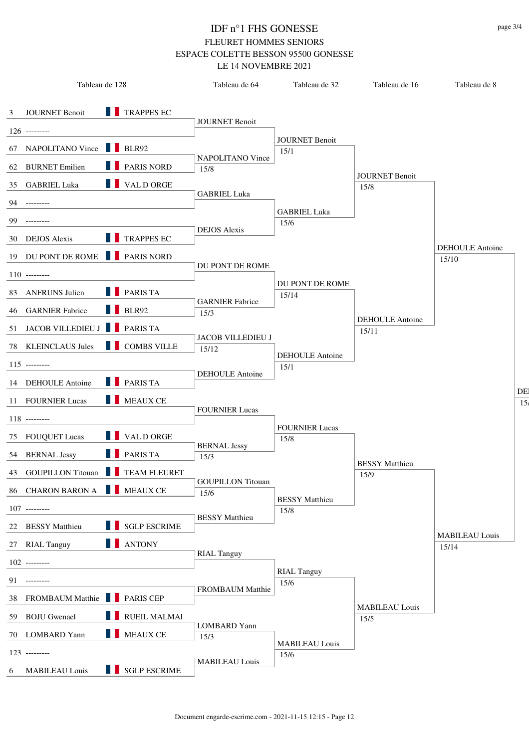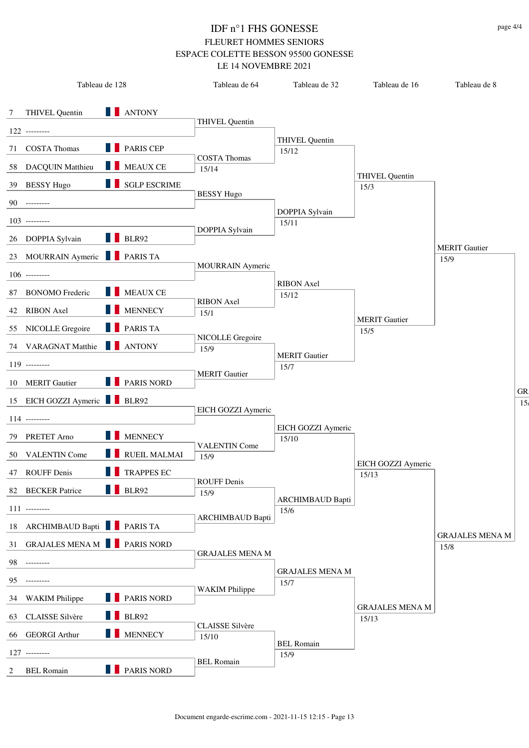|    | Tableau de 128                                   | Tableau de 64                | Tableau de 32                  | Tableau de 16                 | Tableau de 8                   |                        |
|----|--------------------------------------------------|------------------------------|--------------------------------|-------------------------------|--------------------------------|------------------------|
|    | <b>ANTONY</b><br>7 THIVEL Quentin                |                              |                                |                               |                                |                        |
|    | $122$ ---------                                  | <b>THIVEL Quentin</b>        |                                |                               |                                |                        |
|    | H<br><b>PARIS CEP</b><br>71 COSTA Thomas         |                              | <b>THIVEL Quentin</b><br>15/12 |                               |                                |                        |
|    | <b>MEAUX CE</b><br>H H<br>58 DACQUIN Matthieu    | <b>COSTA Thomas</b><br>15/14 |                                |                               |                                |                        |
|    | <b>SGLP ESCRIME</b><br>39 BESSY Hugo             |                              |                                | <b>THIVEL Quentin</b><br>15/3 |                                |                        |
|    | 90 ---------                                     | <b>BESSY Hugo</b>            |                                |                               |                                |                        |
|    | $103$ ---------                                  |                              | DOPPIA Sylvain<br>15/11        |                               |                                |                        |
|    | BLR92<br>26 DOPPIA Sylvain                       | DOPPIA Sylvain               |                                |                               |                                |                        |
|    | 23 MOURRAIN Aymeric PARIS TA                     |                              |                                |                               | <b>MERIT Gautier</b><br>15/9   |                        |
|    | $106$ ---------                                  | <b>MOURRAIN</b> Aymeric      |                                |                               |                                |                        |
|    | <b>NEAUX CE</b><br>87 BONOMO Frederic            |                              | <b>RIBON</b> Axel<br>15/12     |                               |                                |                        |
| 42 | <b>NENNECY</b><br><b>RIBON</b> Axel              | <b>RIBON</b> Axel<br>15/1    |                                |                               |                                |                        |
|    | HH.<br><b>PARIS TA</b><br>55 NICOLLE Gregoire    |                              |                                | <b>MERIT Gautier</b><br>15/5  |                                |                        |
|    | <b>ANTONY</b><br>74 VARAGNAT Matthie             | NICOLLE Gregoire<br>15/9     |                                |                               |                                |                        |
|    | $119$ ---------                                  |                              | <b>MERIT</b> Gautier<br>15/7   |                               |                                |                        |
|    | HH.<br><b>PARIS NORD</b><br>10 MERIT Gautier     | <b>MERIT</b> Gautier         |                                |                               |                                |                        |
|    | 15 EICH GOZZI Aymeric BLR92                      |                              |                                |                               |                                | GR.<br>15 <sub>l</sub> |
|    | $114$ ---------                                  | EICH GOZZI Aymeric           |                                |                               |                                |                        |
|    | <b>MENNECY</b><br>H<br>79 PRETET Arno            |                              | EICH GOZZI Aymeric<br>15/10    |                               |                                |                        |
|    | <b>RUEIL MALMAI</b><br>50 VALENTIN Come<br>n e s | <b>VALENTIN Come</b><br>15/9 |                                |                               |                                |                        |
|    | <b>TRAPPES EC</b><br>47 ROUFF Denis              |                              |                                | EICH GOZZI Aymeric<br>15/13   |                                |                        |
|    | BLR92<br>82 BECKER Patrice                       | <b>ROUFF Denis</b><br>15/9   |                                |                               |                                |                        |
|    | $111$ ---------                                  |                              | ARCHIMBAUD Bapti<br>15/6       |                               |                                |                        |
|    | 18 ARCHIMBAUD Bapti PARIS TA                     | <b>ARCHIMBAUD Bapti</b>      |                                |                               |                                |                        |
|    | 31 GRAJALES MENA M PARIS NORD                    |                              |                                |                               | <b>GRAJALES MENA M</b><br>15/8 |                        |
| 98 | ---------                                        | <b>GRAJALES MENA M</b>       | <b>GRAJALES MENA M</b>         |                               |                                |                        |
| 95 |                                                  | <b>WAKIM Philippe</b>        | 15/7                           |                               |                                |                        |
| 34 | <b>FRANS NORD</b><br><b>WAKIM Philippe</b>       |                              |                                | <b>GRAJALES MENA M</b>        |                                |                        |
| 63 | <b>BLR92</b><br>CLAISSE Silvère                  | CLAISSE Silvère              |                                | 15/13                         |                                |                        |
|    | <b>NENNECY</b><br>66 GEORGI Arthur               | 15/10                        | <b>BEL Romain</b>              |                               |                                |                        |
|    | $127$ ---------                                  | <b>BEL Romain</b>            | 15/9                           |                               |                                |                        |
| 2  | <b>PARIS NORD</b><br><b>BEL Romain</b>           |                              |                                |                               |                                |                        |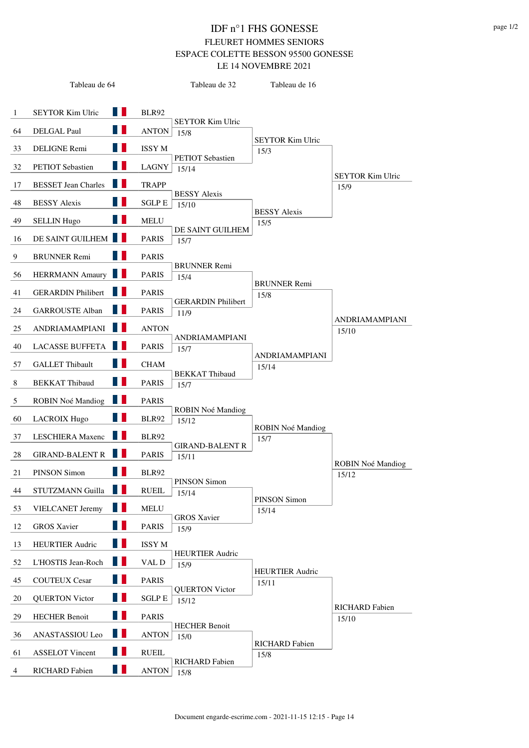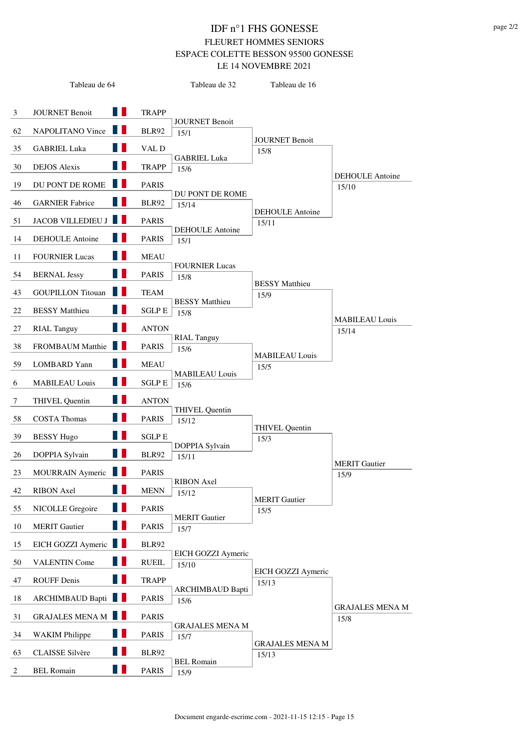|        | Tableau de 64                         |               | Tableau de 32                   | Tableau de 16                   |                                 |
|--------|---------------------------------------|---------------|---------------------------------|---------------------------------|---------------------------------|
|        |                                       |               |                                 |                                 |                                 |
| 3      | W<br><b>JOURNET Benoit</b>            | <b>TRAPP</b>  | <b>JOURNET Benoit</b>           |                                 |                                 |
| 62     | H<br>NAPOLITANO Vince                 | <b>BLR92</b>  | 15/1                            | <b>JOURNET Benoit</b>           |                                 |
| 35     | W<br><b>GABRIEL Luka</b>              | VAL D         |                                 | 15/8                            |                                 |
| 30     | Ш<br><b>DEJOS</b> Alexis              | <b>TRAPP</b>  | <b>GABRIEL Luka</b><br>15/6     |                                 |                                 |
| 19     | H.<br>DU PONT DE ROME                 | <b>PARIS</b>  |                                 |                                 | <b>DEHOULE</b> Antoine<br>15/10 |
| $46\,$ | H.<br><b>GARNIER Fabrice</b>          | <b>BLR92</b>  | DU PONT DE ROME<br>15/14        |                                 |                                 |
| 51     | JACOB VILLEDIEU J                     | <b>PARIS</b>  |                                 | <b>DEHOULE</b> Antoine<br>15/11 |                                 |
| 14     | Ш<br><b>DEHOULE</b> Antoine           | <b>PARIS</b>  | <b>DEHOULE Antoine</b>          |                                 |                                 |
|        | ш                                     |               | 15/1                            |                                 |                                 |
| 11     | <b>FOURNIER Lucas</b>                 | <b>MEAU</b>   | <b>FOURNIER Lucas</b>           |                                 |                                 |
| 54     | H.<br><b>BERNAL Jessy</b>             | <b>PARIS</b>  | 15/8                            | <b>BESSY Matthieu</b>           |                                 |
| 43     | M.<br><b>GOUPILLON Titouan</b>        | <b>TEAM</b>   | <b>BESSY</b> Matthieu           | 15/9                            |                                 |
| 22     | Ш<br><b>BESSY</b> Matthieu            | <b>SGLP E</b> | 15/8                            |                                 | <b>MABILEAU Louis</b>           |
| 27     | H<br><b>RIAL Tanguy</b>               | <b>ANTON</b>  |                                 |                                 | 15/14                           |
| 38     | <b>TER</b><br><b>FROMBAUM Matthie</b> | <b>PARIS</b>  | <b>RIAL Tanguy</b><br>15/6      |                                 |                                 |
| 59     | W<br><b>LOMBARD</b> Yann              | <b>MEAU</b>   |                                 | <b>MABILEAU Louis</b><br>15/5   |                                 |
| 6      | Ш<br><b>MABILEAU Louis</b>            | SGLP E        | <b>MABILEAU Louis</b><br>15/6   |                                 |                                 |
| 7      | Ш<br><b>THIVEL Quentin</b>            | <b>ANTON</b>  |                                 |                                 |                                 |
| 58     | H.<br><b>COSTA Thomas</b>             | <b>PARIS</b>  | <b>THIVEL Quentin</b>           |                                 |                                 |
|        | W                                     |               | 15/12                           | <b>THIVEL Quentin</b>           |                                 |
| 39     | <b>BESSY Hugo</b>                     | <b>SGLP E</b> | DOPPIA Sylvain                  | 15/3                            |                                 |
| 26     | H.<br>DOPPIA Sylvain                  | <b>BLR92</b>  | 15/11                           |                                 | <b>MERIT</b> Gautier            |
| 23     | H H<br>MOURRAIN Aymeric               | <b>PARIS</b>  | <b>RIBON</b> Axel               |                                 | 15/9                            |
| 42     | N N<br><b>RIBON</b> Axel              | <b>MENN</b>   | 15/12                           | <b>MERIT</b> Gautier            |                                 |
| 55     | W<br>NICOLLE Gregoire                 | <b>PARIS</b>  | <b>MERIT Gautier</b>            | 15/5                            |                                 |
| 10     | $\mathcal{A}$<br><b>MERIT</b> Gautier | <b>PARIS</b>  | 15/7                            |                                 |                                 |
| 15     | H I<br>EICH GOZZI Aymeric             | <b>BLR92</b>  |                                 |                                 |                                 |
| 50     | H<br><b>VALENTIN Come</b>             | <b>RUEIL</b>  | EICH GOZZI Aymeric<br>15/10     |                                 |                                 |
| 47     | Ш<br><b>ROUFF Denis</b>               | <b>TRAPP</b>  |                                 | EICH GOZZI Aymeric<br>15/13     |                                 |
| 18     | ARCHIMBAUD Bapti                      | PARIS         | <b>ARCHIMBAUD Bapti</b><br>15/6 |                                 |                                 |
| 31     | a ka<br><b>GRAJALES MENA M</b>        | <b>PARIS</b>  |                                 |                                 | <b>GRAJALES MENA M</b><br>15/8  |
| 34     | H H<br><b>WAKIM Philippe</b>          | <b>PARIS</b>  | <b>GRAJALES MENA M</b>          |                                 |                                 |
|        | H.                                    |               | 15/7                            | <b>GRAJALES MENA M</b>          |                                 |
| 63     | CLAISSE Silvère                       | <b>BLR92</b>  | <b>BEL Romain</b>               | 15/13                           |                                 |
| 2      | H.<br><b>BEL Romain</b>               | <b>PARIS</b>  | 15/9                            |                                 |                                 |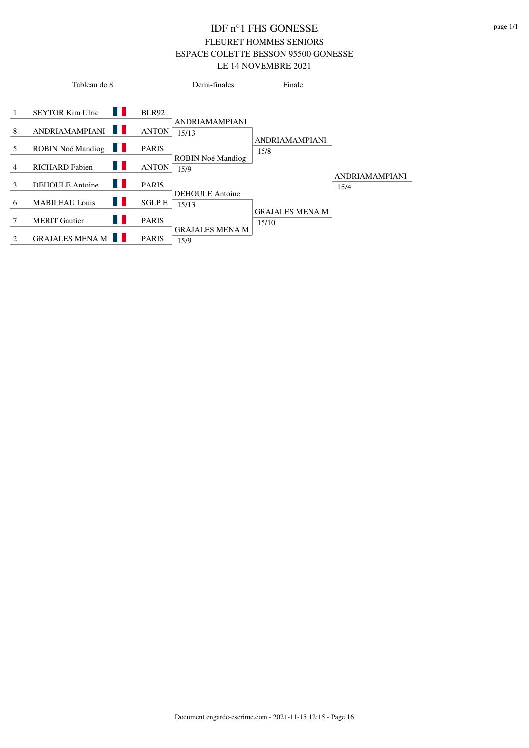|                               | Tableau de 8                           | Demi-finales                                     | Finale                          |                        |
|-------------------------------|----------------------------------------|--------------------------------------------------|---------------------------------|------------------------|
|                               | <b>SEYTOR Kim Ulric</b>                | <b>BLR92</b><br><b>ANDRIAMAMPIANI</b>            |                                 |                        |
| 8                             | <b>ANDRIAMAMPIANI</b><br><b>The Co</b> | <b>ANTON</b><br>15/13                            |                                 |                        |
| 5                             | H<br><b>ROBIN Noé Mandiog</b>          | <b>PARIS</b>                                     | <b>ANDRIAMAMPIANI</b><br>15/8   |                        |
| $\overline{4}$                | H<br><b>RICHARD</b> Fabien             | ROBIN Noé Mandiog<br><b>ANTON</b><br>15/9        |                                 |                        |
| 3                             | DEHOULE Antoine<br>H                   | <b>PARIS</b>                                     |                                 | ANDRIAMAMPIANI<br>15/4 |
| 6                             | H<br><b>MABILEAU Louis</b>             | <b>DEHOULE</b> Antoine<br><b>SGLP E</b><br>15/13 |                                 |                        |
|                               | Ш<br><b>MERIT</b> Gautier              | <b>PARIS</b>                                     | <b>GRAJALES MENA M</b><br>15/10 |                        |
| $\mathfrak{D}_{\mathfrak{p}}$ | <b>GRAJALES MENA M</b>                 | <b>GRAJALES MENA M</b><br><b>PARIS</b><br>15/9   |                                 |                        |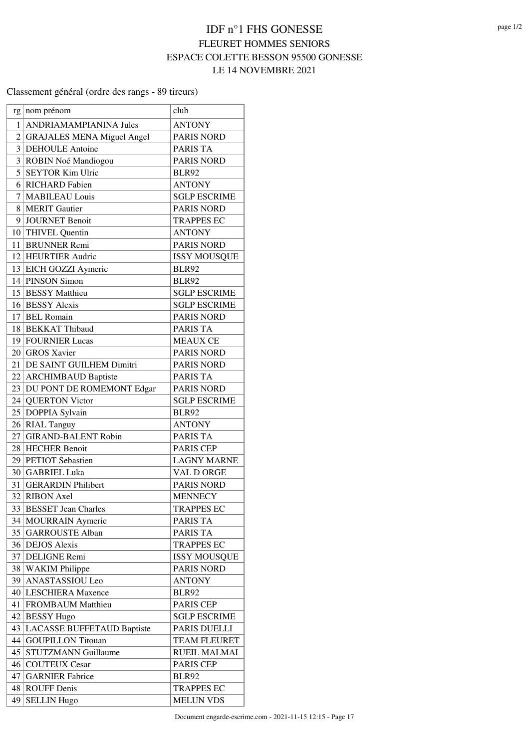#### Classement général (ordre des rangs - 89 tireurs)

| rg             | nom prénom                        | club                |
|----------------|-----------------------------------|---------------------|
| 1 <sup>1</sup> | <b>ANDRIAMAMPIANINA Jules</b>     | <b>ANTONY</b>       |
| 2              | <b>GRAJALES MENA Miguel Angel</b> | <b>PARIS NORD</b>   |
| 3              | <b>DEHOULE</b> Antoine            | <b>PARIS TA</b>     |
|                | 3 ROBIN Noé Mandiogou             | <b>PARIS NORD</b>   |
|                | 5 SEYTOR Kim Ulric                | <b>BLR92</b>        |
| 6              | RICHARD Fabien                    | <b>ANTONY</b>       |
| 7              | <b>MABILEAU Louis</b>             | <b>SGLP ESCRIME</b> |
| 8              | <b>MERIT</b> Gautier              | <b>PARIS NORD</b>   |
|                | 9 JOURNET Benoit                  | <b>TRAPPES EC</b>   |
|                | 10 THIVEL Quentin                 | <b>ANTONY</b>       |
|                | 11 BRUNNER Remi                   | PARIS NORD          |
|                | 12 HEURTIER Audric                | <b>ISSY MOUSQUE</b> |
|                | 13 EICH GOZZI Aymeric             | <b>BLR92</b>        |
|                | 14 PINSON Simon                   | <b>BLR92</b>        |
|                | 15 BESSY Matthieu                 | <b>SGLP ESCRIME</b> |
|                | 16 BESSY Alexis                   | <b>SGLP ESCRIME</b> |
|                | 17 BEL Romain                     | PARIS NORD          |
|                | 18 BEKKAT Thibaud                 | <b>PARIS TA</b>     |
|                | 19 FOURNIER Lucas                 | <b>MEAUX CE</b>     |
|                | 20 GROS Xavier                    | <b>PARIS NORD</b>   |
|                | 21 DE SAINT GUILHEM Dimitri       | <b>PARIS NORD</b>   |
|                | 22 ARCHIMBAUD Baptiste            | <b>PARIS TA</b>     |
|                | 23 DU PONT DE ROMEMONT Edgar      | <b>PARIS NORD</b>   |
|                | 24 QUERTON Victor                 | <b>SGLP ESCRIME</b> |
| 25             | DOPPIA Sylvain                    | <b>BLR92</b>        |
|                | 26 RIAL Tanguy                    | <b>ANTONY</b>       |
|                | 27 GIRAND-BALENT Robin            | <b>PARIS TA</b>     |
|                | 28 HECHER Benoit                  | <b>PARIS CEP</b>    |
|                | 29 PETIOT Sebastien               | <b>LAGNY MARNE</b>  |
|                | 30 GABRIEL Luka                   | VAL D ORGE          |
| 31             | <b>GERARDIN Philibert</b>         | <b>PARIS NORD</b>   |
| 32             | <b>RIBON</b> Axel                 | <b>MENNECY</b>      |
|                | 33 BESSET Jean Charles            | <b>TRAPPES EC</b>   |
|                | 34 MOURRAIN Aymeric               | PARIS TA            |
|                | 35 GARROUSTE Alban                | <b>PARIS TA</b>     |
|                | 36 DEJOS Alexis                   | <b>TRAPPES EC</b>   |
| 37             | DELIGNE Remi                      | <b>ISSY MOUSQUE</b> |
| 38             | <b>WAKIM Philippe</b>             | PARIS NORD          |
| 39             | ANASTASSIOU Leo                   | <b>ANTONY</b>       |
|                | 40 LESCHIERA Maxence              | <b>BLR92</b>        |
| 41             | FROMBAUM Matthieu                 | PARIS CEP           |
|                | 42 BESSY Hugo                     | <b>SGLP ESCRIME</b> |
| 43             | LACASSE BUFFETAUD Baptiste        | PARIS DUELLI        |
| 44             | <b>GOUPILLON Titouan</b>          | <b>TEAM FLEURET</b> |
| 45             | STUTZMANN Guillaume               | <b>RUEIL MALMAI</b> |
| 46             | <b>COUTEUX Cesar</b>              | PARIS CEP           |
| 47             | <b>GARNIER Fabrice</b>            | <b>BLR92</b>        |
| 48             | <b>ROUFF Denis</b>                | <b>TRAPPES EC</b>   |
| 49             | <b>SELLIN Hugo</b>                | <b>MELUN VDS</b>    |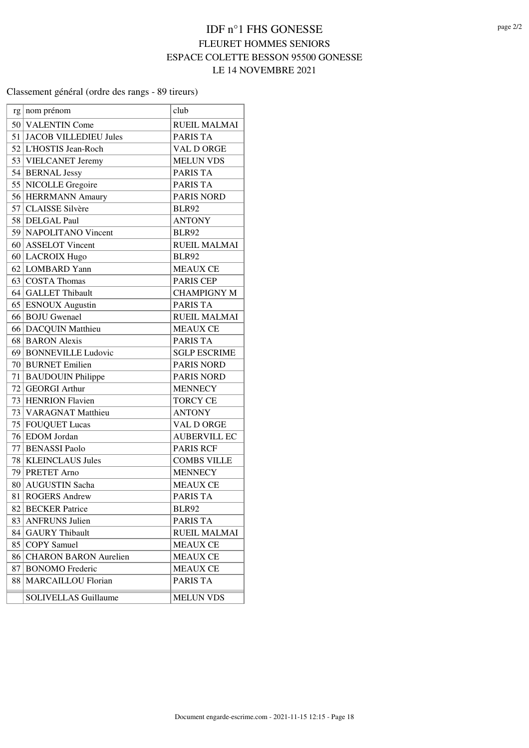#### Classement général (ordre des rangs - 89 tireurs)

|    | $rg \mid nom$ prénom         | club                |  |  |  |
|----|------------------------------|---------------------|--|--|--|
|    | 50 VALENTIN Come             | <b>RUEIL MALMAI</b> |  |  |  |
|    | 51 JACOB VILLEDIEU Jules     | <b>PARIS TA</b>     |  |  |  |
|    | 52 L'HOSTIS Jean-Roch        | <b>VAL D ORGE</b>   |  |  |  |
|    | 53 VIELCANET Jeremy          | <b>MELUN VDS</b>    |  |  |  |
|    | 54 BERNAL Jessy              | <b>PARIS TA</b>     |  |  |  |
|    | 55 NICOLLE Gregoire          | <b>PARIS TA</b>     |  |  |  |
|    | 56 HERRMANN Amaury           | PARIS NORD          |  |  |  |
|    | 57 CLAISSE Silvère           | <b>BLR92</b>        |  |  |  |
|    | 58 DELGAL Paul               | <b>ANTONY</b>       |  |  |  |
|    | 59 NAPOLITANO Vincent        | <b>BLR92</b>        |  |  |  |
|    | 60 ASSELOT Vincent           | <b>RUEIL MALMAI</b> |  |  |  |
|    | 60 LACROIX Hugo              | <b>BLR92</b>        |  |  |  |
|    | 62 LOMBARD Yann              | <b>MEAUX CE</b>     |  |  |  |
|    | 63 COSTA Thomas              | <b>PARIS CEP</b>    |  |  |  |
|    | 64 GALLET Thibault           | <b>CHAMPIGNY M</b>  |  |  |  |
|    | 65 ESNOUX Augustin           | <b>PARIS TA</b>     |  |  |  |
|    | 66 BOJU Gwenael              | <b>RUEIL MALMAI</b> |  |  |  |
|    | 66 DACQUIN Matthieu          | <b>MEAUX CE</b>     |  |  |  |
|    | 68 BARON Alexis              | <b>PARIS TA</b>     |  |  |  |
|    | 69 BONNEVILLE Ludovic        | <b>SGLP ESCRIME</b> |  |  |  |
|    | 70 BURNET Emilien            | <b>PARIS NORD</b>   |  |  |  |
|    | 71 BAUDOUIN Philippe         | <b>PARIS NORD</b>   |  |  |  |
|    | 72 GEORGI Arthur             | <b>MENNECY</b>      |  |  |  |
|    | 73 HENRION Flavien           | <b>TORCY CE</b>     |  |  |  |
|    | 73 VARAGNAT Matthieu         | <b>ANTONY</b>       |  |  |  |
|    | 75 FOUQUET Lucas             | VAL D ORGE          |  |  |  |
|    | 76 EDOM Jordan               | <b>AUBERVILL EC</b> |  |  |  |
| 77 | <b>BENASSI Paolo</b>         | <b>PARIS RCF</b>    |  |  |  |
|    | 78   KLEINCLAUS Jules        | <b>COMBS VILLE</b>  |  |  |  |
|    | 79 PRETET Arno               | <b>MENNECY</b>      |  |  |  |
|    | 80 AUGUSTIN Sacha            | <b>MEAUX CE</b>     |  |  |  |
| 81 | <b>ROGERS</b> Andrew         | <b>PARIS TA</b>     |  |  |  |
| 82 | <b>BECKER</b> Patrice        | <b>BLR92</b>        |  |  |  |
| 83 | <b>ANFRUNS Julien</b>        | <b>PARIS TA</b>     |  |  |  |
|    | 84   GAURY Thibault          | <b>RUEIL MALMAI</b> |  |  |  |
| 85 | <b>COPY</b> Samuel           | <b>MEAUX CE</b>     |  |  |  |
| 86 | <b>CHARON BARON Aurelien</b> | <b>MEAUX CE</b>     |  |  |  |
| 87 | <b>BONOMO</b> Frederic       | <b>MEAUX CE</b>     |  |  |  |
| 88 | <b>MARCAILLOU Florian</b>    | PARIS TA            |  |  |  |
|    | <b>SOLIVELLAS Guillaume</b>  | <b>MELUN VDS</b>    |  |  |  |